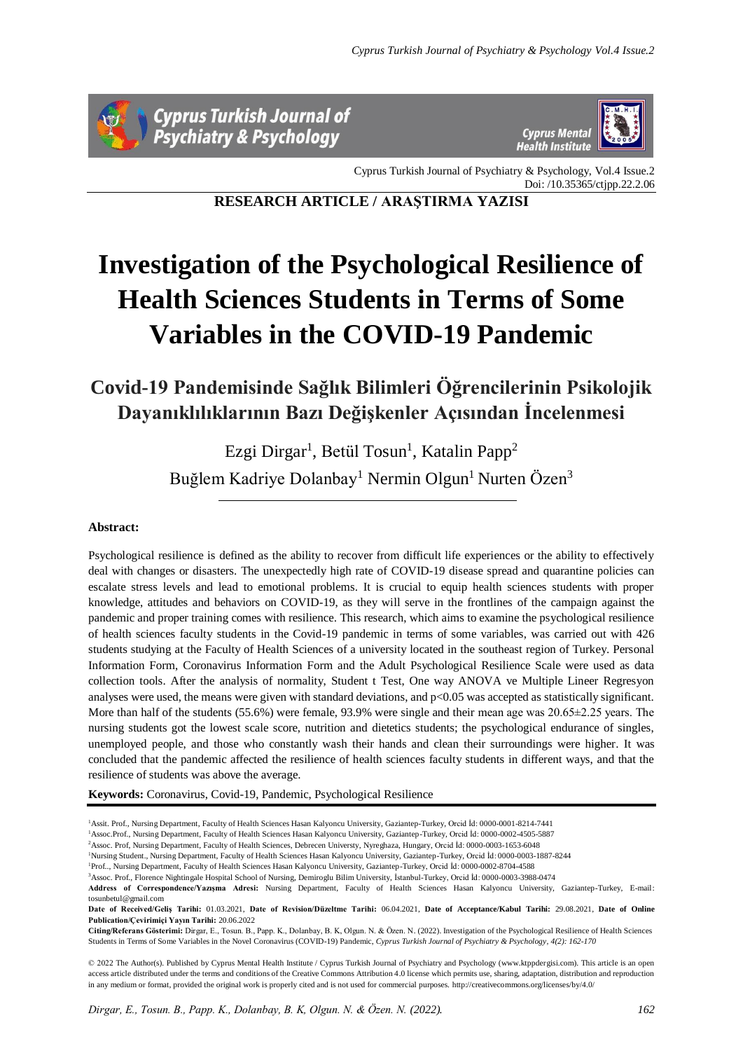



Cyprus Turkish Journal of Psychiatry & Psychology, Vol.4 Issue.2 Doi: /10.35365/ctjpp.22.2.06

**RESEARCH ARTICLE / ARAŞTIRMA YAZISI**

# **Investigation of the Psychological Resilience of Health Sciences Students in Terms of Some Variables in the COVID-19 Pandemic**

**Covid-19 Pandemisinde Sağlık Bilimleri Öğrencilerinin Psikolojik Dayanıklılıklarının Bazı Değişkenler Açısından İncelenmesi**

> Ezgi Dirgar<sup>1</sup>, Betül Tosun<sup>1</sup>, Katalin Papp<sup>2</sup> Buğlem Kadriye Dolanbay<sup>1</sup> Nermin Olgun<sup>1</sup> Nurten Özen<sup>3</sup>

## **Abstract:**

Psychological resilience is defined as the ability to recover from difficult life experiences or the ability to effectively deal with changes or disasters. The unexpectedly high rate of COVID-19 disease spread and quarantine policies can escalate stress levels and lead to emotional problems. It is crucial to equip health sciences students with proper knowledge, attitudes and behaviors on COVID-19, as they will serve in the frontlines of the campaign against the pandemic and proper training comes with resilience. This research, which aims to examine the psychological resilience of health sciences faculty students in the Covid-19 pandemic in terms of some variables, was carried out with 426 students studying at the Faculty of Health Sciences of a university located in the southeast region of Turkey. Personal Information Form, Coronavirus Information Form and the Adult Psychological Resilience Scale were used as data collection tools. After the analysis of normality, Student t Test, One way ANOVA ve Multiple Lineer Regresyon analyses were used, the means were given with standard deviations, and  $p<0.05$  was accepted as statistically significant. More than half of the students (55.6%) were female, 93.9% were single and their mean age was  $20.65\pm2.25$  years. The nursing students got the lowest scale score, nutrition and dietetics students; the psychological endurance of singles, unemployed people, and those who constantly wash their hands and clean their surroundings were higher. It was concluded that the pandemic affected the resilience of health sciences faculty students in different ways, and that the resilience of students was above the average.

**Keywords:** Coronavirus, Covid-19, Pandemic, Psychological Resilience

<sup>1</sup>Assit. Prof., Nursing Department, Faculty of Health Sciences Hasan Kalyoncu University, Gaziantep-Turkey, Orcid İd: 0000-0001-8214-7441

<sup>1</sup>Assoc.Prof., Nursing Department, Faculty of Health Sciences Hasan Kalyoncu University, Gaziantep-Turkey, Orcid İd: 0000-0002-4505-5887 <sup>2</sup>Assoc. Prof, Nursing Department, Faculty of Health Sciences, Debrecen Universty, Nyreghaza, Hungary, Orcid İd: 0000-0003-1653-6048

<sup>1</sup>Nursing Student., Nursing Department, Faculty of Health Sciences Hasan Kalyoncu University, Gaziantep-Turkey, Orcid İd: 0000-0003-1887-8244

<sup>1</sup>Prof.., Nursing Department, Faculty of Health Sciences Hasan Kalyoncu University, Gaziantep-Turkey, Orcid İd: 0000-0002-8704-4588

<sup>3</sup>Assoc. Prof., Florence Nightingale Hospital School of Nursing, Demiroglu Bilim University, İstanbul-Turkey, Orcid İd: 0000-0003-3988-0474

**Address of Correspondence/Yazışma Adresi:** Nursing Department, Faculty of Health Sciences Hasan Kalyoncu University, Gaziantep-Turkey, E-mail: tosunbetul@gmail.com

**Date of Received/Geliş Tarihi:** 01.03.2021, **Date of Revision/Düzeltme Tarihi:** 06.04.2021, **Date of Acceptance/Kabul Tarihi:** 29.08.2021, **Date of Online Publication/Çevirimiçi Yayın Tarihi:** 20.06.2022

**Citing/Referans Gösterimi:** Dirgar, E., Tosun. B., Papp. K., Dolanbay, B. K, Olgun. N. & Özen. N. (2022). Investigation of the Psychological Resilience of Health Sciences Students in Terms of Some Variables in the Novel Coronavirus (COVID-19) Pandemic, *Cyprus Turkish Journal of Psychiatry & Psychology, 4(2): 162-170*

© 2022 The Author(s). Published by Cyprus Mental Health Institute / Cyprus Turkish Journal of Psychiatry and Psychology (www.ktppdergisi.com). This article is an open access article distributed under the terms and conditions of the Creative Commons Attribution 4.0 license which permits use, sharing, adaptation, distribution and reproduction in any medium or format, provided the original work is properly cited and is not used for commercial purposes. http://creativecommons.org/licenses/by/4.0/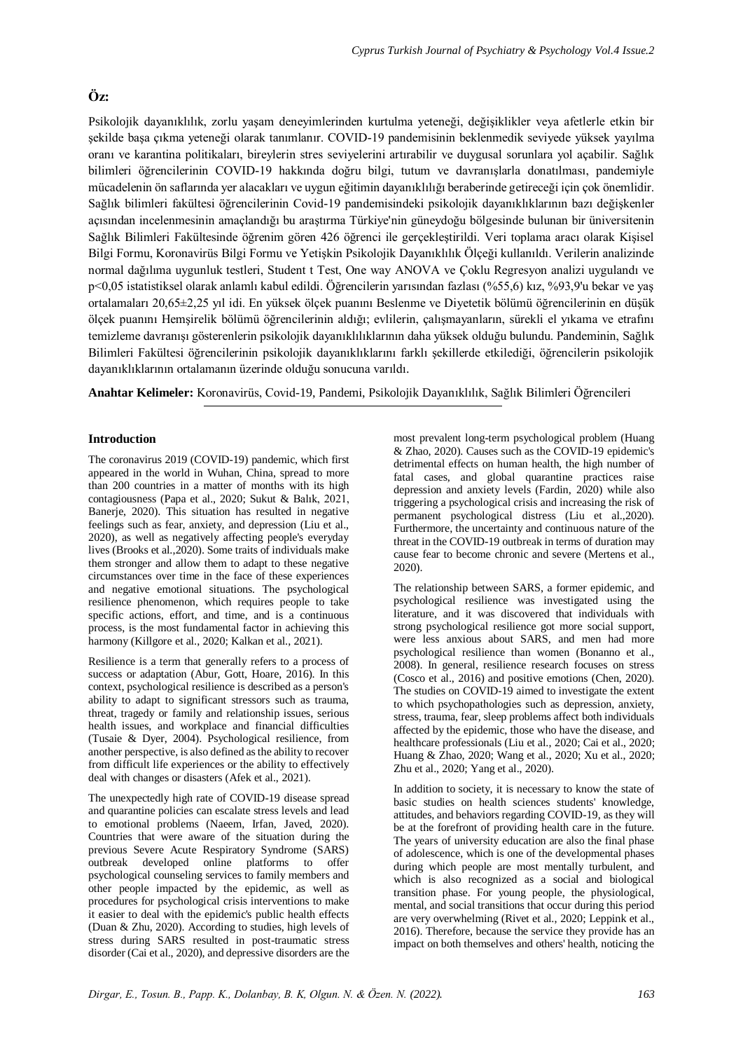## **Öz:**

Psikolojik dayanıklılık, zorlu yaşam deneyimlerinden kurtulma yeteneği, değişiklikler veya afetlerle etkin bir şekilde başa çıkma yeteneği olarak tanımlanır. COVID-19 pandemisinin beklenmedik seviyede yüksek yayılma oranı ve karantina politikaları, bireylerin stres seviyelerini artırabilir ve duygusal sorunlara yol açabilir. Sağlık bilimleri öğrencilerinin COVID-19 hakkında doğru bilgi, tutum ve davranışlarla donatılması, pandemiyle mücadelenin ön saflarında yer alacakları ve uygun eğitimin dayanıklılığı beraberinde getireceği için çok önemlidir. Sağlık bilimleri fakültesi öğrencilerinin Covid-19 pandemisindeki psikolojik dayanıklıklarının bazı değişkenler açısından incelenmesinin amaçlandığı bu araştırma Türkiye'nin güneydoğu bölgesinde bulunan bir üniversitenin Sağlık Bilimleri Fakültesinde öğrenim gören 426 öğrenci ile gerçekleştirildi. Veri toplama aracı olarak Kişisel Bilgi Formu, Koronavirüs Bilgi Formu ve Yetişkin Psikolojik Dayanıklılık Ölçeği kullanıldı. Verilerin analizinde normal dağılıma uygunluk testleri, Student t Test, One way ANOVA ve Çoklu Regresyon analizi uygulandı ve p<0,05 istatistiksel olarak anlamlı kabul edildi. Öğrencilerin yarısından fazlası (%55,6) kız, %93,9'u bekar ve yaş ortalamaları 20,65±2,25 yıl idi. En yüksek ölçek puanını Beslenme ve Diyetetik bölümü öğrencilerinin en düşük ölçek puanını Hemşirelik bölümü öğrencilerinin aldığı; evlilerin, çalışmayanların, sürekli el yıkama ve etrafını temizleme davranışı gösterenlerin psikolojik dayanıklılıklarının daha yüksek olduğu bulundu. Pandeminin, Sağlık Bilimleri Fakültesi öğrencilerinin psikolojik dayanıklıklarını farklı şekillerde etkilediği, öğrencilerin psikolojik dayanıklıklarının ortalamanın üzerinde olduğu sonucuna varıldı.

**Anahtar Kelimeler:** Koronavirüs, Covid-19, Pandemi, Psikolojik Dayanıklılık, Sağlık Bilimleri Öğrencileri

## **Introduction**

The coronavirus 2019 (COVID-19) pandemic, which first appeared in the world in Wuhan, China, spread to more than 200 countries in a matter of months with its high contagiousness (Papa et al., 2020; Sukut & Balık, 2021, Banerje, 2020). This situation has resulted in negative feelings such as fear, anxiety, and depression (Liu et al., 2020), as well as negatively affecting people's everyday lives (Brooks et al.,2020). Some traits of individuals make them stronger and allow them to adapt to these negative circumstances over time in the face of these experiences and negative emotional situations. The psychological resilience phenomenon, which requires people to take specific actions, effort, and time, and is a continuous process, is the most fundamental factor in achieving this harmony (Killgore et al., 2020; Kalkan et al., 2021).

Resilience is a term that generally refers to a process of success or adaptation (Abur, Gott, Hoare, 2016). In this context, psychological resilience is described as a person's ability to adapt to significant stressors such as trauma, threat, tragedy or family and relationship issues, serious health issues, and workplace and financial difficulties (Tusaie & Dyer, 2004). Psychological resilience, from another perspective, is also defined as the ability to recover from difficult life experiences or the ability to effectively deal with changes or disasters (Afek et al., 2021).

The unexpectedly high rate of COVID-19 disease spread and quarantine policies can escalate stress levels and lead to emotional problems (Naeem, Irfan, Javed, 2020). Countries that were aware of the situation during the previous Severe Acute Respiratory Syndrome (SARS) outbreak developed online platforms to offer psychological counseling services to family members and other people impacted by the epidemic, as well as procedures for psychological crisis interventions to make it easier to deal with the epidemic's public health effects (Duan & Zhu, 2020). According to studies, high levels of stress during SARS resulted in post-traumatic stress disorder (Cai et al., 2020), and depressive disorders are the

most prevalent long-term psychological problem (Huang & Zhao, 2020). Causes such as the COVID-19 epidemic's detrimental effects on human health, the high number of fatal cases, and global quarantine practices raise depression and anxiety levels (Fardin, 2020) while also triggering a psychological crisis and increasing the risk of permanent psychological distress (Liu et al.,2020). Furthermore, the uncertainty and continuous nature of the threat in the COVID-19 outbreak in terms of duration may cause fear to become chronic and severe (Mertens et al., 2020).

The relationship between SARS, a former epidemic, and psychological resilience was investigated using the literature, and it was discovered that individuals with strong psychological resilience got more social support, were less anxious about SARS, and men had more psychological resilience than women (Bonanno et al., 2008). In general, resilience research focuses on stress (Cosco et al., 2016) and positive emotions (Chen, 2020). The studies on COVID-19 aimed to investigate the extent to which psychopathologies such as depression, anxiety, stress, trauma, fear, sleep problems affect both individuals affected by the epidemic, those who have the disease, and healthcare professionals (Liu et al., 2020; Cai et al., 2020; Huang & Zhao, 2020; Wang et al., 2020; Xu et al., 2020; Zhu et al., 2020; Yang et al., 2020).

In addition to society, it is necessary to know the state of basic studies on health sciences students' knowledge, attitudes, and behaviors regarding COVID-19, as they will be at the forefront of providing health care in the future. The years of university education are also the final phase of adolescence, which is one of the developmental phases during which people are most mentally turbulent, and which is also recognized as a social and biological transition phase. For young people, the physiological, mental, and social transitions that occur during this period are very overwhelming (Rivet et al., 2020; Leppink et al., 2016). Therefore, because the service they provide has an impact on both themselves and others' health, noticing the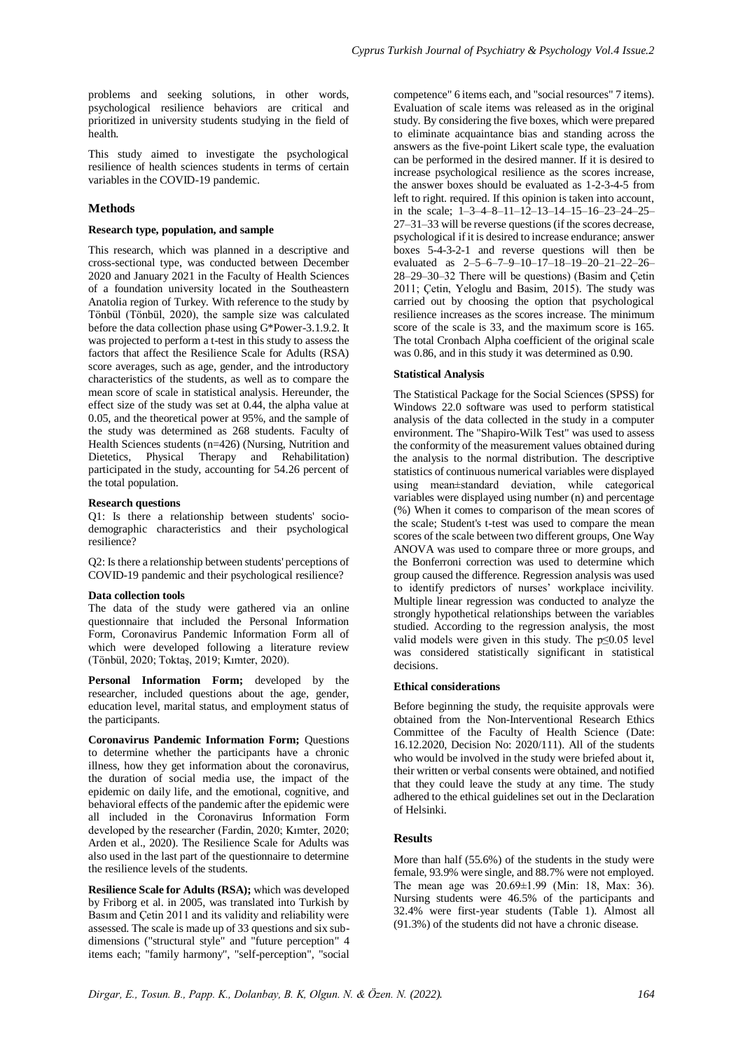problems and seeking solutions, in other words, psychological resilience behaviors are critical and prioritized in university students studying in the field of health.

This study aimed to investigate the psychological resilience of health sciences students in terms of certain variables in the COVID-19 pandemic.

## **Methods**

### **Research type, population, and sample**

This research, which was planned in a descriptive and cross-sectional type, was conducted between December 2020 and January 2021 in the Faculty of Health Sciences of a foundation university located in the Southeastern Anatolia region of Turkey. With reference to the study by Tönbül (Tönbül, 2020), the sample size was calculated before the data collection phase using G\*Power-3.1.9.2. It was projected to perform a t-test in this study to assess the factors that affect the Resilience Scale for Adults (RSA) score averages, such as age, gender, and the introductory characteristics of the students, as well as to compare the mean score of scale in statistical analysis. Hereunder, the effect size of the study was set at 0.44, the alpha value at 0.05, and the theoretical power at 95%, and the sample of the study was determined as 268 students. Faculty of Health Sciences students (n=426) (Nursing, Nutrition and Dietetics, Physical Therapy and Rehabilitation) participated in the study, accounting for 54.26 percent of the total population.

#### **Research questions**

Q1: Is there a relationship between students' sociodemographic characteristics and their psychological resilience?

Q2: Is there a relationship between students' perceptions of COVID-19 pandemic and their psychological resilience?

## **Data collection tools**

The data of the study were gathered via an online questionnaire that included the Personal Information Form, Coronavirus Pandemic Information Form all of which were developed following a literature review (Tönbül, 2020; Toktaş, 2019; Kımter, 2020).

**Personal Information Form;** developed by the researcher, included questions about the age, gender, education level, marital status, and employment status of the participants.

**Coronavirus Pandemic Information Form: Ouestions** to determine whether the participants have a chronic illness, how they get information about the coronavirus, the duration of social media use, the impact of the epidemic on daily life, and the emotional, cognitive, and behavioral effects of the pandemic after the epidemic were all included in the Coronavirus Information Form developed by the researcher (Fardin, 2020; Kımter, 2020; Arden et al., 2020). The Resilience Scale for Adults was also used in the last part of the questionnaire to determine the resilience levels of the students.

**Resilience Scale for Adults (RSA);** which was developed by Friborg et al. in 2005, was translated into Turkish by Basım and Çetin 2011 and its validity and reliability were assessed. The scale is made up of 33 questions and six subdimensions ("structural style" and "future perception" 4 items each; "family harmony", "self-perception", "social

competence" 6 items each, and "social resources" 7 items). Evaluation of scale items was released as in the original study. By considering the five boxes, which were prepared to eliminate acquaintance bias and standing across the answers as the five-point Likert scale type, the evaluation can be performed in the desired manner. If it is desired to increase psychological resilience as the scores increase, the answer boxes should be evaluated as 1-2-3-4-5 from left to right. required. If this opinion is taken into account, in the scale:  $1\overline{-3}$ -4-8-11-12-13-14-15-16-23-24-25-27–31–33 will be reverse questions (if the scores decrease, psychological if it is desired to increase endurance; answer boxes 5-4-3-2-1 and reverse questions will then be evaluated as 2–5–6–7–9–10–17–18–19–20–21–22–26– 28–29–30–32 There will be questions) (Basim and Çetin 2011; Çetin, Yeloglu and Basim, 2015). The study was carried out by choosing the option that psychological resilience increases as the scores increase. The minimum score of the scale is 33, and the maximum score is 165. The total Cronbach Alpha coefficient of the original scale was 0.86, and in this study it was determined as 0.90.

## **Statistical Analysis**

The Statistical Package for the Social Sciences (SPSS) for Windows 22.0 software was used to perform statistical analysis of the data collected in the study in a computer environment. The "Shapiro-Wilk Test" was used to assess the conformity of the measurement values obtained during the analysis to the normal distribution. The descriptive statistics of continuous numerical variables were displayed using mean±standard deviation, while categorical variables were displayed using number (n) and percentage (%) When it comes to comparison of the mean scores of the scale; Student's t-test was used to compare the mean scores of the scale between two different groups, One Way ANOVA was used to compare three or more groups, and the Bonferroni correction was used to determine which group caused the difference. Regression analysis was used to identify predictors of nurses' workplace incivility. Multiple linear regression was conducted to analyze the strongly hypothetical relationships between the variables studied. According to the regression analysis, the most valid models were given in this study. The  $p \le 0.05$  level was considered statistically significant in statistical decisions.

#### **Ethical considerations**

Before beginning the study, the requisite approvals were obtained from the Non-Interventional Research Ethics Committee of the Faculty of Health Science (Date: 16.12.2020, Decision No: 2020/111). All of the students who would be involved in the study were briefed about it, their written or verbal consents were obtained, and notified that they could leave the study at any time. The study adhered to the ethical guidelines set out in the Declaration of Helsinki.

## **Results**

More than half (55.6%) of the students in the study were female, 93.9% were single, and 88.7% were not employed. The mean age was 20.69±1.99 (Min: 18, Max: 36). Nursing students were 46.5% of the participants and 32.4% were first-year students (Table 1). Almost all (91.3%) of the students did not have a chronic disease.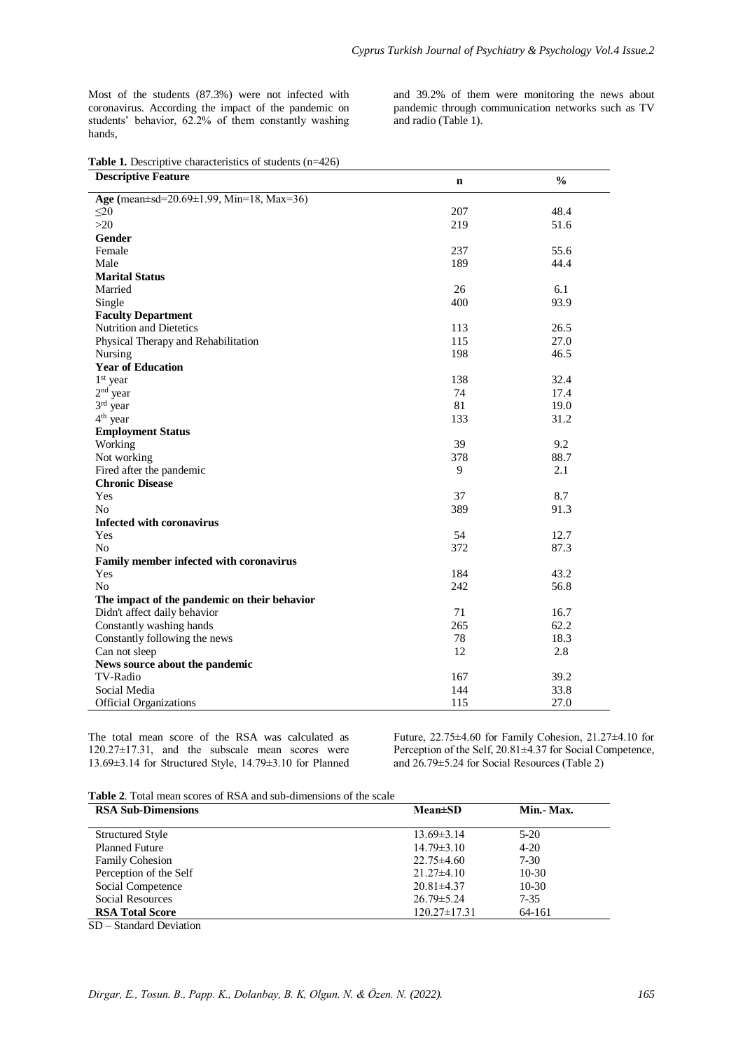Most of the students (87.3%) were not infected with coronavirus. According the impact of the pandemic on students' behavior, 62.2% of them constantly washing hands,

and 39.2% of them were monitoring the news about pandemic through communication networks such as TV and radio (Table 1).

|  |  |  | <b>Table 1.</b> Descriptive characteristics of students $(n=426)$ |  |
|--|--|--|-------------------------------------------------------------------|--|
|--|--|--|-------------------------------------------------------------------|--|

| <b>Descriptive Feature</b>                           | $\mathbf n$ | $\frac{0}{0}$ |
|------------------------------------------------------|-------------|---------------|
| Age (mean $\pm$ sd=20.69 $\pm$ 1.99, Min=18, Max=36) |             |               |
| $\leq$ 20                                            | 207         | 48.4          |
| $>20$                                                | 219         | 51.6          |
| Gender                                               |             |               |
| Female                                               | 237         | 55.6          |
| Male                                                 | 189         | 44.4          |
| <b>Marital Status</b>                                |             |               |
| Married                                              | 26          | 6.1           |
| Single                                               | 400         | 93.9          |
| <b>Faculty Department</b>                            |             |               |
| <b>Nutrition and Dietetics</b>                       | 113         | 26.5          |
| Physical Therapy and Rehabilitation                  | 115         | 27.0          |
| Nursing                                              | 198         | 46.5          |
| <b>Year of Education</b>                             |             |               |
| $1st$ year                                           | 138         | 32.4          |
| $2nd$ year                                           | 74          | 17.4          |
| 3rd year                                             | 81          | 19.0          |
| $4th$ year                                           | 133         | 31.2          |
| <b>Employment Status</b>                             |             |               |
| Working                                              | 39          | 9.2           |
| Not working                                          | 378         | 88.7          |
| Fired after the pandemic                             | 9           | 2.1           |
| <b>Chronic Disease</b>                               |             |               |
| Yes                                                  | 37          | 8.7           |
| N <sub>0</sub>                                       | 389         | 91.3          |
| <b>Infected with coronavirus</b>                     |             |               |
| Yes                                                  | 54          | 12.7          |
| N <sub>o</sub>                                       | 372         | 87.3          |
| Family member infected with coronavirus              |             |               |
| Yes                                                  | 184         | 43.2          |
| N <sub>o</sub>                                       | 242         | 56.8          |
| The impact of the pandemic on their behavior         |             |               |
| Didn't affect daily behavior                         | 71          | 16.7          |
| Constantly washing hands                             | 265         | 62.2          |
| Constantly following the news                        | 78          | 18.3          |
| Can not sleep                                        | 12          | 2.8           |
| News source about the pandemic                       |             |               |
| TV-Radio                                             | 167         | 39.2          |
| Social Media                                         | 144         | 33.8          |
| <b>Official Organizations</b>                        | 115         | 27.0          |

The total mean score of the RSA was calculated as 120.27±17.31, and the subscale mean scores were 13.69±3.14 for Structured Style, 14.79±3.10 for Planned

Future, 22.75±4.60 for Family Cohesion, 21.27±4.10 for Perception of the Self, 20.81±4.37 for Social Competence, and 26.79±5.24 for Social Resources (Table 2)

**Table 2**. Total mean scores of RSA and sub-dimensions of the scale

| <b>RSA Sub-Dimensions</b> | $Mean \pm SD$      | Min. Max. |
|---------------------------|--------------------|-----------|
|                           |                    |           |
| <b>Structured Style</b>   | $13.69 \pm 3.14$   | $5-20$    |
| <b>Planned Future</b>     | $14.79 \pm 3.10$   | $4 - 20$  |
| <b>Family Cohesion</b>    | $22.75\pm4.60$     | $7 - 30$  |
| Perception of the Self    | $21.27\pm4.10$     | $10-30$   |
| Social Competence         | $20.81 \pm 4.37$   | $10-30$   |
| Social Resources          | $26.79 \pm 5.24$   | 7-35      |
| <b>RSA Total Score</b>    | $120.27 \pm 17.31$ | 64-161    |

SD – Standard Deviation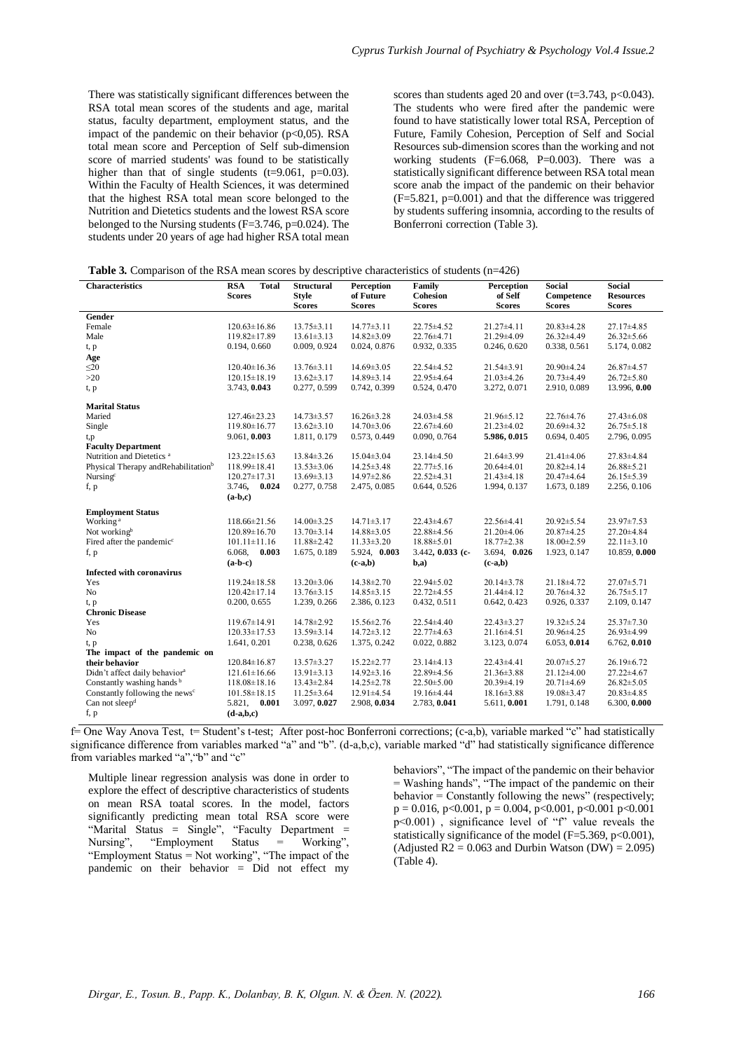There was statistically significant differences between the RSA total mean scores of the students and age, marital status, faculty department, employment status, and the impact of the pandemic on their behavior  $(p<0.05)$ . RSA total mean score and Perception of Self sub-dimension score of married students' was found to be statistically higher than that of single students  $(t=9.061, p=0.03)$ . Within the Faculty of Health Sciences, it was determined that the highest RSA total mean score belonged to the Nutrition and Dietetics students and the lowest RSA score belonged to the Nursing students (F=3.746, p=0.024). The students under 20 years of age had higher RSA total mean

scores than students aged 20 and over  $(t=3.743, p<0.043)$ . The students who were fired after the pandemic were found to have statistically lower total RSA, Perception of Future, Family Cohesion, Perception of Self and Social Resources sub-dimension scores than the working and not working students (F=6.068, P=0.003). There was a statistically significant difference between RSA total mean score anab the impact of the pandemic on their behavior  $(F=5.821, p=0.001)$  and that the difference was triggered by students suffering insomnia, according to the results of Bonferroni correction (Table 3).

| <b>Table 3.</b> Comparison of the RSA mean scores by descriptive characteristics of students $(n=426)$ |  |  |
|--------------------------------------------------------------------------------------------------------|--|--|
|--------------------------------------------------------------------------------------------------------|--|--|

| <b>Characteristics</b>                           | <b>RSA</b><br><b>Total</b> | <b>Structural</b> | Perception       | Family              | Perception       | <b>Social</b>    | <b>Social</b>    |
|--------------------------------------------------|----------------------------|-------------------|------------------|---------------------|------------------|------------------|------------------|
|                                                  | <b>Scores</b>              | <b>Style</b>      | of Future        | Cohesion            | of Self          | Competence       | <b>Resources</b> |
|                                                  |                            | <b>Scores</b>     | <b>Scores</b>    | <b>Scores</b>       | <b>Scores</b>    | <b>Scores</b>    | <b>Scores</b>    |
| Gender                                           |                            |                   |                  |                     |                  |                  |                  |
| Female                                           | $120.63 \pm 16.86$         | $13.75 \pm 3.11$  | $14.77 \pm 3.11$ | 22.75 ± 4.52        | $21.27 \pm 4.11$ | $20.83 \pm 4.28$ | $27.17\pm4.85$   |
| Male                                             | 119.82±17.89               | $13.61 \pm 3.13$  | $14.82 \pm 3.09$ | 22.76±4.71          | 21.29±4.09       | 26.32±4.49       | $26.32 \pm 5.66$ |
| t, p                                             | 0.194, 0.660               | 0.009, 0.924      | 0.024, 0.876     | 0.932, 0.335        | 0.246, 0.620     | 0.338, 0.561     | 5.174, 0.082     |
| Age                                              |                            |                   |                  |                     |                  |                  |                  |
| $\leq$ 20                                        | $120.40 \pm 16.36$         | $13.76 \pm 3.11$  | $14.69 \pm 3.05$ | 22.54±4.52          | $21.54 \pm 3.91$ | $20.90 \pm 4.24$ | 26.87±4.57       |
| $>20$                                            | $120.15 \pm 18.19$         | $13.62 \pm 3.17$  | 14.89±3.14       | 22.95±4.64          | $21.03 \pm 4.26$ | $20.73 \pm 4.49$ | $26.72 \pm 5.80$ |
| t, p                                             | 3.743, 0.043               | 0.277, 0.599      | 0.742, 0.399     | 0.524, 0.470        | 3.272, 0.071     | 2.910, 0.089     | 13.996, 0.00     |
| <b>Marital Status</b>                            |                            |                   |                  |                     |                  |                  |                  |
| Maried                                           | $127.46 \pm 23.23$         | $14.73 \pm 3.57$  | $16.26 \pm 3.28$ | $24.03 \pm 4.58$    | $21.96 \pm 5.12$ | $22.76 \pm 4.76$ | $27.43 \pm 6.08$ |
| Single                                           | $119.80 \pm 16.77$         | $13.62 \pm 3.10$  | $14.70 \pm 3.06$ | $22.67\pm4.60$      | $21.23 \pm 4.02$ | $20.69 \pm 4.32$ | $26.75 \pm 5.18$ |
| t,p                                              | 9.061, 0.003               | 1.811, 0.179      | 0.573, 0.449     | 0.090, 0.764        | 5.986, 0.015     | 0.694, 0.405     | 2.796, 0.095     |
| <b>Faculty Department</b>                        |                            |                   |                  |                     |                  |                  |                  |
| Nutrition and Dietetics <sup>a</sup>             | $123.22 \pm 15.63$         | 13.84±3.26        | $15.04 \pm 3.04$ | $23.14 \pm 4.50$    | $21.64 \pm 3.99$ | $21.41 \pm 4.06$ | 27.83±4.84       |
| Physical Therapy and Rehabilitation <sup>b</sup> | $118.99 \pm 18.41$         | $13.53 \pm 3.06$  | $14.25 \pm 3.48$ | $22.77 \pm 5.16$    | 20.64±4.01       | $20.82 \pm 4.14$ | 26.88±5.21       |
| Nursing <sup>c</sup>                             | $120.27 \pm 17.31$         | $13.69 \pm 3.13$  | $14.97 \pm 2.86$ | $22.52\pm4.31$      | $21.43 \pm 4.18$ | $20.47\pm4.64$   | $26.15 \pm 5.39$ |
| f, p                                             | 0.024<br>3.746,            | 0.277, 0.758      | 2.475, 0.085     | 0.644, 0.526        | 1.994, 0.137     | 1.673, 0.189     | 2.256, 0.106     |
|                                                  | $(a-b,c)$                  |                   |                  |                     |                  |                  |                  |
| <b>Employment Status</b>                         |                            |                   |                  |                     |                  |                  |                  |
| Working <sup>a</sup>                             | 118.66±21.56               | $14.00 \pm 3.25$  | $14.71 \pm 3.17$ | $22.43 \pm 4.67$    | 22.56±4.41       | 20.92±5.54       | 23.97±7.53       |
| Not workingb                                     | 120.89±16.70               | $13.70 \pm 3.14$  | 14.88±3.05       | 22.88±4.56          | $21.20 \pm 4.06$ | 20.87±4.25       | 27.20±4.84       |
| Fired after the pandemic <sup>c</sup>            | $101.11 \pm 11.16$         | 11.88±2.42        | $11.33 \pm 3.20$ | $18.88 \pm 5.01$    | $18.77 \pm 2.38$ | $18.00 \pm 2.59$ | $22.11 \pm 3.10$ |
| f, p                                             | 0.003<br>6.068,            | 1.675, 0.189      | 5.924, 0.003     | $3.442$ , 0.033 (c- | 3.694, 0.026     | 1.923, 0.147     | 10.859, 0.000    |
|                                                  | $(a-b-c)$                  |                   | $(c-a,b)$        | $b,a$               | $(c-a,b)$        |                  |                  |
| <b>Infected with coronavirus</b>                 |                            |                   |                  |                     |                  |                  |                  |
| Yes                                              | $119.24 \pm 18.58$         | $13.20 \pm 3.06$  | 14.38±2.70       | 22.94±5.02          | $20.14 \pm 3.78$ | $21.18 \pm 4.72$ | $27.07 \pm 5.71$ |
| N <sub>o</sub>                                   | $120.42 \pm 17.14$         | $13.76 \pm 3.15$  | $14.85 \pm 3.15$ | 22.72±4.55          | 21.44±4.12       | $20.76 \pm 4.32$ | $26.75 \pm 5.17$ |
| t, p                                             | 0.200, 0.655               | 1.239, 0.266      | 2.386, 0.123     | 0.432, 0.511        | 0.642, 0.423     | 0.926, 0.337     | 2.109, 0.147     |
| <b>Chronic Disease</b>                           |                            |                   |                  |                     |                  |                  |                  |
| Yes                                              | $119.67\pm14.91$           | 14.78±2.92        | 15.56±2.76       | $22.54 \pm 4.40$    | $22.43 \pm 3.27$ | $19.32 \pm 5.24$ | $25.37 \pm 7.30$ |
| N <sub>o</sub>                                   | $120.33 \pm 17.53$         | $13.59 \pm 3.14$  | $14.72 \pm 3.12$ | $22.77\pm4.63$      | $21.16 \pm 4.51$ | 20.96±4.25       | $26.93 \pm 4.99$ |
| t, p                                             | 1.641, 0.201               | 0.238, 0.626      | 1.375, 0.242     | 0.022, 0.882        | 3.123, 0.074     | 6.053, 0.014     | 6.762, 0.010     |
| The impact of the pandemic on                    |                            |                   |                  |                     |                  |                  |                  |
| their behavior                                   | $120.84 \pm 16.87$         | $13.57 \pm 3.27$  | $15.22 \pm 2.77$ | $23.14\pm4.13$      | $22.43 \pm 4.41$ | $20.07 \pm 5.27$ | 26.19±6.72       |
| Didn't affect daily behavior <sup>a</sup>        | $121.61 \pm 16.66$         | $13.91 \pm 3.13$  | $14.92 \pm 3.16$ | 22.89±4.56          | $21.36 \pm 3.88$ | $21.12 \pm 4.00$ | 27.22±4.67       |
| Constantly washing hands <sup>b</sup>            | $118.08 \pm 18.16$         | $13.43 \pm 2.84$  | $14.25 \pm 2.78$ | $22.50 \pm 5.00$    | 20.39±4.19       | $20.71 \pm 4.69$ | $26.82 \pm 5.05$ |
| Constantly following the news <sup>c</sup>       | $101.58 \pm 18.15$         | $11.25 \pm 3.64$  | $12.91 \pm 4.54$ | 19.16±4.44          | $18.16 \pm 3.88$ | $19.08 \pm 3.47$ | $20.83 \pm 4.85$ |
| Can not sleep <sup>d</sup>                       | 5.821, 0.001               | 3.097, 0.027      | 2.908, 0.034     | 2.783, 0.041        | 5.611, 0.001     | 1.791, 0.148     | 6.300, 0.000     |
| f, p                                             | $(d-a,b,c)$                |                   |                  |                     |                  |                  |                  |

f= One Way Anova Test, t= Student's t-test; After post-hoc Bonferroni corrections; (c-a,b), variable marked "c" had statistically significance difference from variables marked "a" and "b". (d-a,b,c), variable marked "d" had statistically significance difference from variables marked "a","b" and "c"

Multiple linear regression analysis was done in order to explore the effect of descriptive characteristics of students on mean RSA toatal scores. In the model, factors significantly predicting mean total RSA score were "Marital Status = Single", "Faculty Department = Nursing", "Employment Status = Working", "Employment Status = Not working", "The impact of the pandemic on their behavior = Did not effect my

behaviors", "The impact of the pandemic on their behavior  $=$  Washing hands", "The impact of the pandemic on their behavior  $=$  Constantly following the news" (respectively;  $p = 0.016$ , p<0.001, p = 0.004, p<0.001, p<0.001 p<0.001 p<0.001) , significance level of "f" value reveals the statistically significance of the model ( $F=5.369$ ,  $p<0.001$ ), (Adjusted  $R2 = 0.063$  and Durbin Watson (DW) = 2.095) (Table 4).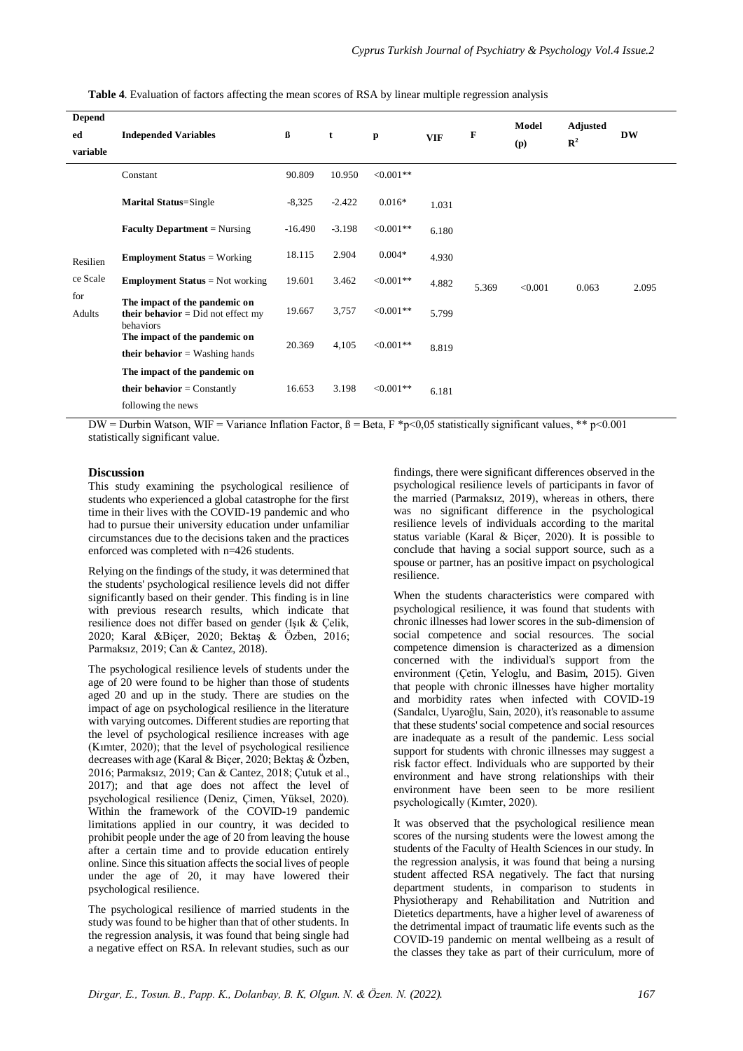| <b>Depend</b> |                                                                                           |           |          |              |            |       | Model   | <b>Adjusted</b> |           |
|---------------|-------------------------------------------------------------------------------------------|-----------|----------|--------------|------------|-------|---------|-----------------|-----------|
| ed            | <b>Independed Variables</b>                                                               | ß         | t        | p            | <b>VIF</b> | F     | (p)     | $\mathbb{R}^2$  | <b>DW</b> |
| variable      |                                                                                           |           |          |              |            |       |         |                 |           |
|               | Constant                                                                                  | 90.809    | 10.950   | $< 0.001**$  |            |       |         |                 |           |
|               | <b>Marital Status=Single</b>                                                              | $-8,325$  | $-2.422$ | $0.016*$     | 1.031      |       | < 0.001 | 0.063           | 2.095     |
|               | <b>Faculty Department</b> = Nursing                                                       | $-16.490$ | $-3.198$ | $< 0.001$ ** | 6.180      |       |         |                 |           |
| Resilien      | <b>Employment Status</b> = Working                                                        | 18.115    | 2.904    | $0.004*$     | 4.930      | 5.369 |         |                 |           |
| ce Scale      | <b>Employment Status</b> = Not working                                                    | 19.601    | 3.462    | $< 0.001$ ** | 4.882      |       |         |                 |           |
| for<br>Adults | The impact of the pandemic on<br><b>their behavior</b> = $Did$ not effect my<br>behaviors | 19.667    | 3,757    | $< 0.001$ ** | 5.799      |       |         |                 |           |
|               | The impact of the pandemic on<br><b>their behavior</b> = Washing hands                    | 20.369    | 4,105    | $< 0.001**$  | 8.819      |       |         |                 |           |
|               | The impact of the pandemic on                                                             |           |          |              |            |       |         |                 |           |
|               | <b>their behavior</b> = Constantly                                                        | 16.653    | 3.198    | $< 0.001**$  | 6.181      |       |         |                 |           |
|               | following the news                                                                        |           |          |              |            |       |         |                 |           |

**Table 4**. Evaluation of factors affecting the mean scores of RSA by linear multiple regression analysis

DW = Durbin Watson, WIF = Variance Inflation Factor,  $\beta$  = Beta, F \*p<0.05 statistically significant values, \*\* p<0.001 statistically significant value.

## **Discussion**

This study examining the psychological resilience of students who experienced a global catastrophe for the first time in their lives with the COVID-19 pandemic and who had to pursue their university education under unfamiliar circumstances due to the decisions taken and the practices enforced was completed with n=426 students.

Relying on the findings of the study, it was determined that the students' psychological resilience levels did not differ significantly based on their gender. This finding is in line with previous research results, which indicate that resilience does not differ based on gender (Işık & Çelik, 2020; Karal &Biçer, 2020; Bektaş & Özben, 2016; Parmaksız, 2019; Can & Cantez, 2018).

The psychological resilience levels of students under the age of 20 were found to be higher than those of students aged 20 and up in the study. There are studies on the impact of age on psychological resilience in the literature with varying outcomes. Different studies are reporting that the level of psychological resilience increases with age (Kımter, 2020); that the level of psychological resilience decreases with age (Karal & Biçer, 2020; Bektaş & Özben, 2016; Parmaksız, 2019; Can & Cantez, 2018; Çutuk et al., 2017); and that age does not affect the level of psychological resilience (Deniz, Çimen, Yüksel, 2020). Within the framework of the COVID-19 pandemic limitations applied in our country, it was decided to prohibit people under the age of 20 from leaving the house after a certain time and to provide education entirely online. Since this situation affects the social lives of people under the age of 20, it may have lowered their psychological resilience.

The psychological resilience of married students in the study was found to be higher than that of other students. In the regression analysis, it was found that being single had a negative effect on RSA. In relevant studies, such as our

findings, there were significant differences observed in the psychological resilience levels of participants in favor of the married (Parmaksız, 2019), whereas in others, there was no significant difference in the psychological resilience levels of individuals according to the marital status variable (Karal & Biçer, 2020). It is possible to conclude that having a social support source, such as a spouse or partner, has an positive impact on psychological resilience.

When the students characteristics were compared with psychological resilience, it was found that students with chronic illnesses had lower scores in the sub-dimension of social competence and social resources. The social competence dimension is characterized as a dimension concerned with the individual's support from the environment (Çetin, Yeloglu, and Basim, 2015). Given that people with chronic illnesses have higher mortality and morbidity rates when infected with COVID-19 (Sandalcı, Uyaroğlu, Sain, 2020), it's reasonable to assume that these students' social competence and social resources are inadequate as a result of the pandemic. Less social support for students with chronic illnesses may suggest a risk factor effect. Individuals who are supported by their environment and have strong relationships with their environment have been seen to be more resilient psychologically (Kımter, 2020).

It was observed that the psychological resilience mean scores of the nursing students were the lowest among the students of the Faculty of Health Sciences in our study. In the regression analysis, it was found that being a nursing student affected RSA negatively. The fact that nursing department students, in comparison to students in Physiotherapy and Rehabilitation and Nutrition and Dietetics departments, have a higher level of awareness of the detrimental impact of traumatic life events such as the COVID-19 pandemic on mental wellbeing as a result of the classes they take as part of their curriculum, more of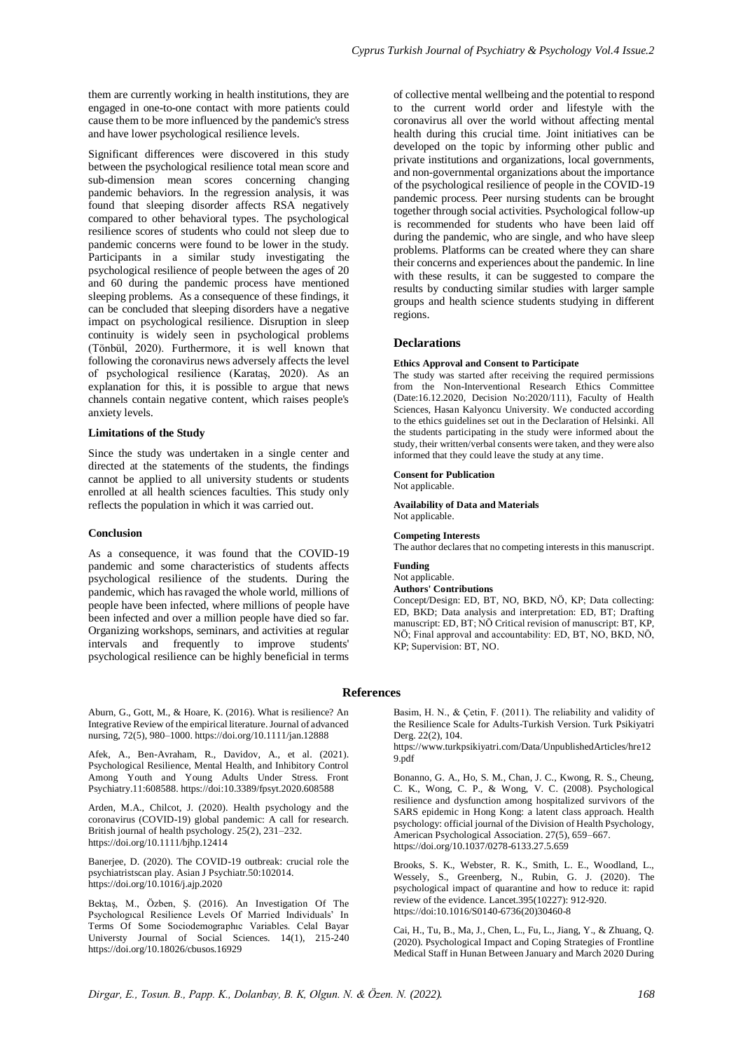them are currently working in health institutions, they are engaged in one-to-one contact with more patients could cause them to be more influenced by the pandemic's stress and have lower psychological resilience levels.

Significant differences were discovered in this study between the psychological resilience total mean score and sub-dimension mean scores concerning changing pandemic behaviors. In the regression analysis, it was found that sleeping disorder affects RSA negatively compared to other behavioral types. The psychological resilience scores of students who could not sleep due to pandemic concerns were found to be lower in the study. Participants in a similar study investigating the psychological resilience of people between the ages of 20 and 60 during the pandemic process have mentioned sleeping problems. As a consequence of these findings, it can be concluded that sleeping disorders have a negative impact on psychological resilience. Disruption in sleep continuity is widely seen in psychological problems (Tönbül, 2020). Furthermore, it is well known that following the coronavirus news adversely affects the level of psychological resilience (Karataş, 2020). As an explanation for this, it is possible to argue that news channels contain negative content, which raises people's anxiety levels.

## **Limitations of the Study**

Since the study was undertaken in a single center and directed at the statements of the students, the findings cannot be applied to all university students or students enrolled at all health sciences faculties. This study only reflects the population in which it was carried out.

### **Conclusion**

As a consequence, it was found that the COVID-19 pandemic and some characteristics of students affects psychological resilience of the students. During the pandemic, which has ravaged the whole world, millions of people have been infected, where millions of people have been infected and over a million people have died so far. Organizing workshops, seminars, and activities at regular intervals and frequently to improve students' psychological resilience can be highly beneficial in terms

Aburn, G., Gott, M., & Hoare, K. (2016). What is resilience? An Integrative Review of the empirical literature. Journal of advanced nursing, 72(5), 980–1000. https://doi.org/10.1111/jan.12888

Afek, A., Ben-Avraham, R., Davidov, A., et al. (2021). Psychological Resilience, Mental Health, and Inhibitory Control Among Youth and Young Adults Under Stress. Front Psychiatry.11:608588[. https://doi:10.3389/fpsyt.2020.608588](https://doi:10.3389/fpsyt.2020.608588)

Arden, M.A., Chilcot, J. (2020). Health psychology and the coronavirus (COVID-19) global pandemic: A call for research. British journal of health psychology. 25(2), 231–232. https://doi.org/10.1111/bjhp.12414

Banerjee, D. (2020). The COVID-19 outbreak: crucial role the psychiatristscan play. Asian J Psychiatr.50:102014. https://doi.org/10.1016/j.ajp.2020

Bektaş, M., Özben, Ş. (2016). An Investigation Of The Psychologıcal Resilience Levels Of Married Individuals' In Terms Of Some Sociodemographıc Variables. Celal Bayar Universty Journal of Social Sciences. 14(1), 215-240 https://doi.org/10.18026/cbusos.16929

of collective mental wellbeing and the potential to respond to the current world order and lifestyle with the coronavirus all over the world without affecting mental health during this crucial time. Joint initiatives can be developed on the topic by informing other public and private institutions and organizations, local governments, and non-governmental organizations about the importance of the psychological resilience of people in the COVID-19 pandemic process. Peer nursing students can be brought together through social activities. Psychological follow-up is recommended for students who have been laid off during the pandemic, who are single, and who have sleep problems. Platforms can be created where they can share their concerns and experiences about the pandemic. In line with these results, it can be suggested to compare the results by conducting similar studies with larger sample groups and health science students studying in different regions.

#### **Declarations**

#### **Ethics Approval and Consent to Participate**

The study was started after receiving the required permissions from the Non-Interventional Research Ethics Committee (Date:16.12.2020, Decision No:2020/111), Faculty of Health Sciences, Hasan Kalyoncu University. We conducted according to the ethics guidelines set out in the Declaration of Helsinki. All the students participating in the study were informed about the study, their written/verbal consents were taken, and they were also informed that they could leave the study at any time.

## **Consent for Publication**

Not applicable.

**Availability of Data and Materials** Not applicable.

#### **Competing Interests**

The author declares that no competing interests in this manuscript.

## **Funding**

Not applicable. **Authors' Contributions**

Concept/Design: ED, BT, NO, BKD, NÖ, KP; Data collecting: ED, BKD; Data analysis and interpretation: ED, BT; Drafting manuscript: ED, BT; NÖ Critical revision of manuscript: BT, KP, NÖ; Final approval and accountability: ED, BT, NO, BKD, NÖ, KP; Supervision: BT, NO.

#### **References**

Basim, H. N., & Çetin, F. (2011). The reliability and validity of the Resilience Scale for Adults-Turkish Version. Turk Psikiyatri Derg. 22(2), 104.

https://www.turkpsikiyatri.com/Data/UnpublishedArticles/hre12 9.pdf

Bonanno, G. A., Ho, S. M., Chan, J. C., Kwong, R. S., Cheung, C. K., Wong, C. P., & Wong, V. C. (2008). Psychological resilience and dysfunction among hospitalized survivors of the SARS epidemic in Hong Kong: a latent class approach. Health psychology: official journal of the Division of Health Psychology, American Psychological Association. 27(5), 659–667. https://doi.org/10.1037/0278-6133.27.5.659

Brooks, S. K., Webster, R. K., Smith, L. E., Woodland, L., Wessely, S., Greenberg, N., Rubin, G. J. (2020). The psychological impact of quarantine and how to reduce it: rapid review of the evidence. Lancet.395(10227): 912-920. https://doi:10.1016/S0140-6736(20)30460-8

Cai, H., Tu, B., Ma, J., Chen, L., Fu, L., Jiang, Y., & Zhuang, Q. (2020). Psychological Impact and Coping Strategies of Frontline Medical Staff in Hunan Between January and March 2020 During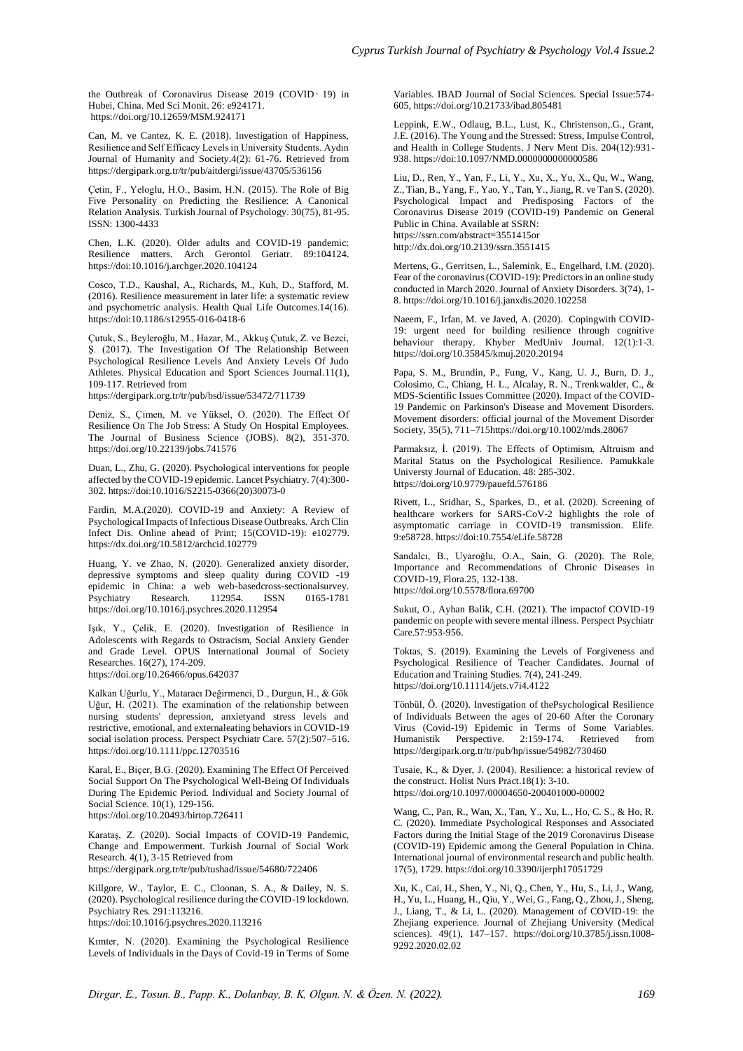the Outbreak of Coronavirus Disease 2019 (COVID-19) in Hubei, China. Med Sci Monit. 26: e924171. https://doi.org/10.12659/MSM.924171

Can, M. ve Cantez, K. E. (2018). Investigation of Happiness, Resilience and Self Efficacy Levels in University Students. Aydın Journal of Humanity and Society.4(2): 61-76. Retrieved from https://dergipark.org.tr/tr/pub/aitdergi/issue/43705/536156

Çetin, F., Yeloglu, H.O., Basim, H.N. (2015). The Role of Big Five Personality on Predicting the Resilience: A Canonical Relation Analysis. Turkish Journal of Psychology. 30(75), 81-95. ISSN: 1300-4433

Chen, L.K. (2020). Older adults and COVID-19 pandemic: Resilience matters. Arch Gerontol Geriatr. 89:104124. https://doi:10.1016/j.archger.2020.104124

Cosco, T.D., Kaushal, A., Richards, M., Kuh, D., Stafford, M. (2016). Resilience measurement in later life: a systematic review and psychometric analysis. Health Qual Life Outcomes.14(16). https://doi:10.1186/s12955-016-0418-6

Çutuk, S., Beyleroğlu, M., Hazar, M., Akkuş Çutuk, Z. ve Bezci, Ş. (2017). The Investigation Of The Relationship Between Psychological Resilience Levels And Anxiety Levels Of Judo Athletes. Physical Education and Sport Sciences Journal.11(1), 109-117. Retrieved from

https://dergipark.org.tr/tr/pub/bsd/issue/53472/711739

Deniz, S., Çimen, M. ve Yüksel, O. (2020). The Effect Of Resilience On The Job Stress: A Study On Hospital Employees. The Journal of Business Science (JOBS). 8(2), 351-370. https://doi.org/10.22139/jobs.741576

Duan, L., Zhu, G. (2020). Psychological interventions for people affected by the COVID-19 epidemic. Lancet Psychiatry. 7(4):300- 302. https://doi:10.1016/S2215-0366(20)30073-0

Fardin, M.A.(2020). COVID-19 and Anxiety: A Review of Psychological Impacts of Infectious Disease Outbreaks. Arch Clin Infect Dis. Online ahead of Print; 15(COVID-19): e102779. https://dx.doi.org/10.5812/archcid.102779

Huang, Y. ve Zhao, N. (2020). Generalized anxiety disorder, depressive symptoms and sleep quality during COVID -19 epidemic in China: a web web-basedcross-sectionalsurvey.<br>Psychiatry Research. 112954. ISSN 0165-1781 Psychiatry Research. 112954. ISSN 0165-1781 https://doi.org/10.1016/j.psychres.2020.112954

Işık, Y., Çelik, E. (2020). Investigation of Resilience in Adolescents with Regards to Ostracism, Social Anxiety Gender and Grade Level. OPUS International Journal of Society Researches. 16(27), 174-209. https://doi.org/10.26466/opus.642037

Kalkan Uğurlu, Y., Mataracı Değirmenci, D., Durgun, H., & Gök Uğur, H. (2021). The examination of the relationship between nursing students' depression, anxietyand stress levels and restrictive, emotional, and externaleating behaviors in COVID-19 social isolation process. Perspect Psychiatr Care. 57(2):507–516. https://doi.org/10.1111/ppc.12703516

Karal, E., Biçer, B.G. (2020). Examining The Effect Of Perceived Social Support On The Psychological Well-Being Of Individuals During The Epidemic Period. Individual and Society Journal of Social Science. 10(1), 129-156. https://doi.org/10.20493/birtop.726411

Karataş, Z. (2020). Social Impacts of COVID-19 Pandemic, Change and Empowerment. Turkish Journal of Social Work Research. 4(1), 3-15 Retrieved from https://dergipark.org.tr/tr/pub/tushad/issue/54680/722406

Killgore, W., Taylor, E. C., Cloonan, S. A., & Dailey, N. S. (2020). Psychological resilience during the COVID-19 lockdown. Psychiatry Res. 291:113216. https://doi:10.1016/j.psychres.2020.113216

Kımter, N. (2020). Examining the Psychological Resilience Levels of Individuals in the Days of Covid-19 in Terms of Some Variables. IBAD Journal of Social Sciences. Special Issue:574- 605, https://doi.org/10.21733/ibad.805481

Leppink, E.W., Odlaug, B.L., Lust, K., Christenson,.G., Grant, J.E. (2016). The Young and the Stressed: Stress, Impulse Control, and Health in College Students. J Nerv Ment Dis. 204(12):931- 938. https://doi:10.1097/NMD.0000000000000586

Liu, D., Ren, Y., Yan, F., Li, Y., Xu, X., Yu, X., Qu, W., Wang, Z., Tian, B., Yang, F., Yao, Y., Tan, Y., Jiang, R. ve Tan S. (2020). Psychological Impact and Predisposing Factors of the Coronavirus Disease 2019 (COVID-19) Pandemic on General Public in China. Available at SSRN: <https://ssrn.com/abstract=3551415or> http://dx.doi.org/10.2139/ssrn.3551415

Mertens, G., Gerritsen, L., Salemink, E., Engelhard, I.M. (2020). Fear of the coronavirus (COVID-19): Predictors in an online study conducted in March 2020. Journal of Anxiety Disorders. 3(74), 1- 8. https://doi.org/10.1016/j.janxdis.2020.102258

Naeem, F., Irfan, M. ve Javed, A. (2020). Copingwith COVID-19: urgent need for building resilience through cognitive behaviour therapy. Khyber MedUniv Journal. 12(1):1-3. https://doi.org/10.35845/kmuj.2020.20194

Papa, S. M., Brundin, P., Fung, V., Kang, U. J., Burn, D. J., Colosimo, C., Chiang, H. L., Alcalay, R. N., Trenkwalder, C., & MDS-Scientific Issues Committee (2020). Impact of the COVID-19 Pandemic on Parkinson's Disease and Movement Disorders. Movement disorders: official journal of the Movement Disorder Society, 35(5), 711–715https://doi.org/10.1002/mds.28067

Parmaksız, İ. (2019). The Effects of Optimism, Altruism and Marital Status on the Psychological Resilience. Pamukkale Universty Journal of Education. 48: 285-302. https://doi.org/10.9779/pauefd.576186

Rivett, L., Sridhar, S., Sparkes, D., et al. (2020). Screening of healthcare workers for SARS-CoV-2 highlights the role of asymptomatic carriage in COVID-19 transmission. Elife. 9:e58728. https://doi:10.7554/eLife.58728

Sandalcı, B., Uyaroğlu, O.A., Sain, G. (2020). The Role, Importance and Recommendations of Chronic Diseases in COVID-19, Flora.25, 132-138. https://doi.org/10.5578/flora.69700

Sukut, O., Ayhan Balik, C.H. (2021). The impactof COVID-19 pandemic on people with severe mental illness. Perspect Psychiatr Care.57:953-956.

Toktas, S. (2019). Examining the Levels of Forgiveness and Psychological Resilience of Teacher Candidates. Journal of Education and Training Studies. 7(4), 241-249. https://doi.org/10.11114/jets.v7i4.4122

Tönbül, Ö. (2020). Investigation of thePsychological Resilience of Individuals Between the ages of 20-60 After the Coronary Virus (Covid-19) Epidemic in Terms of Some Variables. Perspective. 2:159-174. Retrieved from https://dergipark.org.tr/tr/pub/hp/issue/54982/730460

Tusaie, K., & Dyer, J. (2004). Resilience: a historical review of the construct. Holist Nurs Pract.18(1): 3-10. https://doi.org/10.1097/00004650-200401000-00002

Wang, C., Pan, R., Wan, X., Tan, Y., Xu, L., Ho, C. S., & Ho, R. C. (2020). Immediate Psychological Responses and Associated Factors during the Initial Stage of the 2019 Coronavirus Disease (COVID-19) Epidemic among the General Population in China. International journal of environmental research and public health. 17(5), 1729[. https://doi.org/10.3390/ijerph17051729](https://doi.org/10.3390/ijerph17051729)

Xu, K., Cai, H., Shen, Y., Ni, Q., Chen, Y., Hu, S., Li, J., Wang, H., Yu, L., Huang, H., Qiu, Y., Wei, G., Fang, Q., Zhou, J., Sheng, J., Liang, T., & Li, L. (2020). Management of COVID-19: the Zhejiang experience. Journal of Zhejiang University (Medical sciences). 49(1), 147–157. [https://doi.org/10.3785/j.issn.1008-](https://doi.org/10.3785/j.issn.1008-9292.2020.02.02) [9292.2020.02.02](https://doi.org/10.3785/j.issn.1008-9292.2020.02.02)